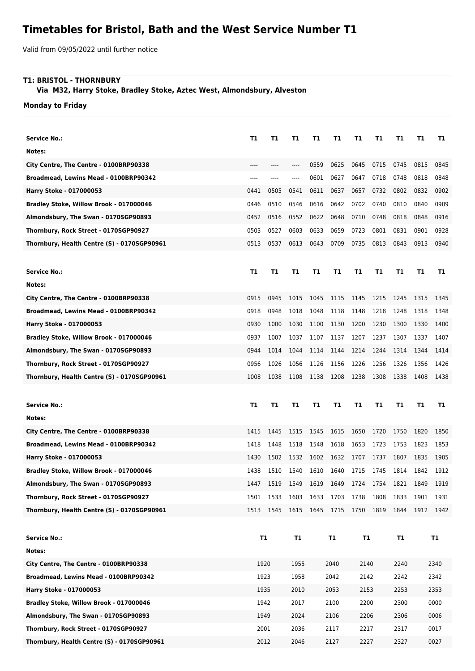## **Timetables for Bristol, Bath and the West Service Number T1**

Valid from 09/05/2022 until further notice

## **T1: BRISTOL - THORNBURY**

 **Via M32, Harry Stoke, Bradley Stoke, Aztec West, Almondsbury, Alveston**

**Monday to Friday**

| <b>Service No.:</b>                         | Т1        | T1   | Т1        | Τ1   | Т1   | Т1   | Т1   | T1   | T1   | Т1        |
|---------------------------------------------|-----------|------|-----------|------|------|------|------|------|------|-----------|
| Notes:                                      |           |      |           |      |      |      |      |      |      |           |
| City Centre, The Centre - 0100BRP90338      | ----      | ---- | $-----$   | 0559 | 0625 | 0645 | 0715 | 0745 | 0815 | 0845      |
| Broadmead, Lewins Mead - 0100BRP90342       | ----      |      |           | 0601 | 0627 | 0647 | 0718 | 0748 | 0818 | 0848      |
| Harry Stoke - 017000053                     | 0441      | 0505 | 0541      | 0611 | 0637 | 0657 | 0732 | 0802 | 0832 | 0902      |
| Bradley Stoke, Willow Brook - 017000046     | 0446      | 0510 | 0546      | 0616 | 0642 | 0702 | 0740 | 0810 | 0840 | 0909      |
| Almondsbury, The Swan - 0170SGP90893        | 0452      | 0516 | 0552      | 0622 | 0648 | 0710 | 0748 | 0818 | 0848 | 0916      |
| Thornbury, Rock Street - 0170SGP90927       | 0503      | 0527 | 0603      | 0633 | 0659 | 0723 | 0801 | 0831 | 0901 | 0928      |
| Thornbury, Health Centre (S) - 0170SGP90961 | 0513      | 0537 | 0613      | 0643 | 0709 | 0735 | 0813 | 0843 | 0913 | 0940      |
|                                             |           |      |           |      |      |      |      |      |      |           |
| <b>Service No.:</b>                         | Т1        | T1   | T1        | Τ1   | T1   | T1   | T1   | T1   | T1   | T1        |
| Notes:                                      |           |      |           |      |      |      |      |      |      |           |
| City Centre, The Centre - 0100BRP90338      | 0915      | 0945 | 1015      | 1045 | 1115 | 1145 | 1215 | 1245 | 1315 | 1345      |
| Broadmead, Lewins Mead - 0100BRP90342       | 0918      | 0948 | 1018      | 1048 | 1118 | 1148 | 1218 | 1248 | 1318 | 1348      |
| Harry Stoke - 017000053                     | 0930      | 1000 | 1030      | 1100 | 1130 | 1200 | 1230 | 1300 | 1330 | 1400      |
| Bradley Stoke, Willow Brook - 017000046     | 0937      | 1007 | 1037      | 1107 | 1137 | 1207 | 1237 | 1307 | 1337 | 1407      |
| Almondsbury, The Swan - 0170SGP90893        | 0944      | 1014 | 1044      | 1114 | 1144 | 1214 | 1244 | 1314 | 1344 | 1414      |
| Thornbury, Rock Street - 0170SGP90927       | 0956      | 1026 | 1056      | 1126 | 1156 | 1226 | 1256 | 1326 | 1356 | 1426      |
| Thornbury, Health Centre (S) - 0170SGP90961 | 1008      | 1038 | 1108      | 1138 | 1208 | 1238 | 1308 | 1338 | 1408 | 1438      |
|                                             |           |      |           |      |      |      |      |      |      |           |
|                                             |           |      |           |      |      |      |      |      |      |           |
| Service No.:                                | Τ1        | T1   | Т1        | Τ1   | T1   | T1   | T1   | T1   | T1   | T1        |
| Notes:                                      |           |      |           |      |      |      |      |      |      |           |
| City Centre, The Centre - 0100BRP90338      | 1415      | 1445 | 1515      | 1545 | 1615 | 1650 | 1720 | 1750 | 1820 | 1850      |
| Broadmead, Lewins Mead - 0100BRP90342       | 1418      | 1448 | 1518      | 1548 | 1618 | 1653 | 1723 | 1753 | 1823 | 1853      |
| Harry Stoke - 017000053                     | 1430      | 1502 | 1532      | 1602 | 1632 | 1707 | 1737 | 1807 | 1835 | 1905      |
| Bradley Stoke, Willow Brook - 017000046     | 1438      | 1510 | 1540      | 1610 | 1640 | 1715 | 1745 | 1814 | 1842 | 1912      |
| Almondsbury, The Swan - 0170SGP90893        | 1447      | 1519 | 1549      | 1619 | 1649 | 1724 | 1754 | 1821 | 1849 | 1919      |
| Thornbury, Rock Street - 0170SGP90927       | 1501      | 1533 | 1603      | 1633 | 1703 | 1738 | 1808 | 1833 | 1901 | 1931      |
| Thornbury, Health Centre (S) - 0170SGP90961 | 1513      | 1545 | 1615      | 1645 | 1715 | 1750 | 1819 | 1844 | 1912 | 1942      |
|                                             |           |      |           |      |      |      |      |      |      |           |
| <b>Service No.:</b>                         | <b>T1</b> |      | <b>T1</b> |      | T1   | T1   |      | T1   |      | <b>T1</b> |
| Notes:                                      |           |      |           |      |      |      |      |      |      |           |
| City Centre, The Centre - 0100BRP90338      | 1920      |      | 1955      |      | 2040 | 2140 |      | 2240 |      | 2340      |
| Broadmead, Lewins Mead - 0100BRP90342       | 1923      |      | 1958      |      | 2042 | 2142 |      | 2242 |      | 2342      |
| Harry Stoke - 017000053                     | 1935      |      | 2010      |      | 2053 | 2153 |      | 2253 |      | 2353      |
| Bradley Stoke, Willow Brook - 017000046     | 1942      |      | 2017      |      | 2100 | 2200 |      | 2300 |      | 0000      |
| Almondsbury, The Swan - 0170SGP90893        | 1949      |      | 2024      |      | 2106 | 2206 |      | 2306 |      | 0006      |
| Thornbury, Rock Street - 0170SGP90927       |           | 2001 | 2036      |      | 2117 | 2217 |      | 2317 |      | 0017      |